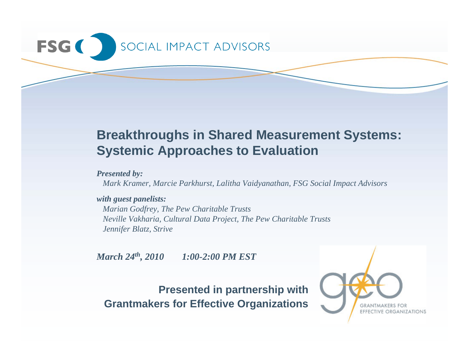# SOCIAL IMPACT ADVISORS **FSG**

# **Breakthroughs in Shared Measurement Systems: Systemic Approaches to Evaluation**

*Presented by:*

*Mark Kramer, Marcie Parkhurst, Lalitha Vaidyanathan, FSG Social Impact Advisors* 

#### *with guest panelists:*

*Marian Godfrey, The Pew Charitable Trusts Neville Vakharia, Cultural Data Project, The Pew Charitable Trusts Jennifer Blatz, Strive*

*March 24th, 2010 1:00-2:00 PM EST*

**Presented in partnership with Grantmakers for Effective Organizations**

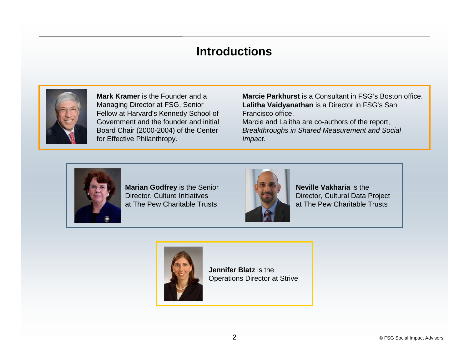#### **Introductions**



**Mark Kramer** is the Founder and a Managing Director at FSG, Senior Fellow at Harvard's Kennedy School of Government and the founder and initial Board Chair (2000-2004) of the Center for Effective Philanthropy.

**Marcie Parkhurst** is a Consultant in FSG's Boston office. **Lalitha Vaidyanathan** is a Director in FSG's San Francisco office. Marcie and Lalitha are co-authors of the report, *Breakthroughs in Shared Measurement and Social Impact*.



**Marian Godfrey** is the Senior Director, Culture Initiatives at The Pew Charitable Trusts



**Neville Vakharia** is the Director, Cultural Data Project at The Pew Charitable Trusts



**Jennifer Blatz** is the Operations Director at Strive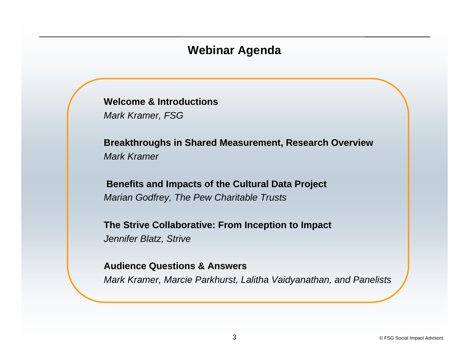#### **Webinar Agenda**

**Welcome & Introductions***Mark Kramer, FSG* 

**Breakthroughs in Shared Measurement, Research Overview** *Mark Kramer*

**Benefits and Impacts of the Cultural Data Project** *Marian Godfrey, The Pew Charitable Trusts*

**The Strive Collaborative: From Inception to Impact** *Jennifer Blatz, Strive*

**Audience Questions & Answers** 

*Mark Kramer, Marcie Parkhurst, Lalitha Vaidyanathan, and Panelists*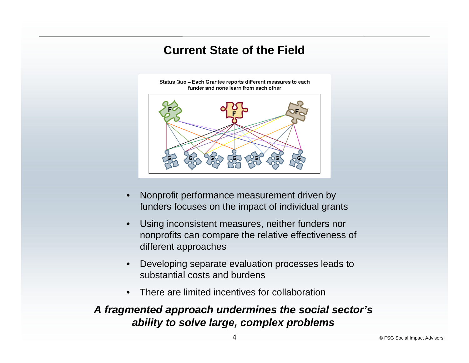#### **Current State of the Field**



- • Nonprofit performance measurement driven by funders focuses on the impact of individual grants
- • Using inconsistent measures, neither funders nor nonprofits can compare the relative effectiveness of different approaches
- • Developing separate evaluation processes leads to substantial costs and burdens
- $\bullet$ There are limited incentives for collaboration

#### *A fragmented approach undermines the social sector's ability to solve large, complex problems*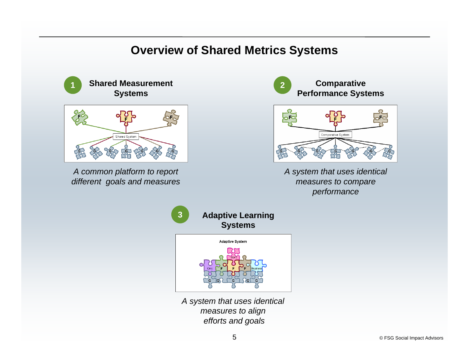#### **Overview of Shared Metrics Systems**

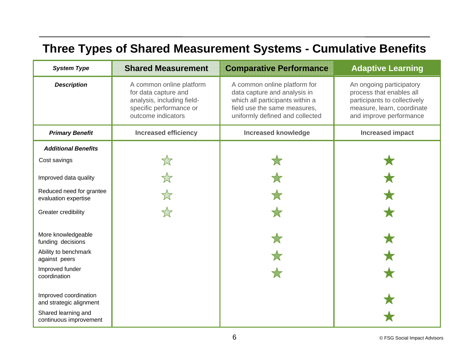## **Three Types of Shared Measurement Systems - Cumulative Benefits**

| <b>System Type</b>                               | <b>Shared Measurement</b>                                                                                                       | <b>Comparative Performance</b>                                                                                                                                                                                                                                                                                      | <b>Adaptive Learning</b> |
|--------------------------------------------------|---------------------------------------------------------------------------------------------------------------------------------|---------------------------------------------------------------------------------------------------------------------------------------------------------------------------------------------------------------------------------------------------------------------------------------------------------------------|--------------------------|
| <b>Description</b>                               | A common online platform<br>for data capture and<br>analysis, including field-<br>specific performance or<br>outcome indicators | A common online platform for<br>An ongoing participatory<br>process that enables all<br>data capture and analysis in<br>which all participants within a<br>participants to collectively<br>field use the same measures,<br>measure, learn, coordinate<br>uniformly defined and collected<br>and improve performance |                          |
| <b>Primary Benefit</b>                           | <b>Increased efficiency</b>                                                                                                     | <b>Increased knowledge</b>                                                                                                                                                                                                                                                                                          | <b>Increased impact</b>  |
| <b>Additional Benefits</b>                       |                                                                                                                                 |                                                                                                                                                                                                                                                                                                                     |                          |
| Cost savings                                     |                                                                                                                                 |                                                                                                                                                                                                                                                                                                                     |                          |
| Improved data quality                            |                                                                                                                                 |                                                                                                                                                                                                                                                                                                                     |                          |
| Reduced need for grantee<br>evaluation expertise |                                                                                                                                 |                                                                                                                                                                                                                                                                                                                     |                          |
| Greater credibility                              |                                                                                                                                 |                                                                                                                                                                                                                                                                                                                     |                          |
| More knowledgeable<br>funding decisions          |                                                                                                                                 |                                                                                                                                                                                                                                                                                                                     |                          |
| Ability to benchmark<br>against peers            |                                                                                                                                 |                                                                                                                                                                                                                                                                                                                     |                          |
| Improved funder<br>coordination                  |                                                                                                                                 |                                                                                                                                                                                                                                                                                                                     |                          |
| Improved coordination<br>and strategic alignment |                                                                                                                                 |                                                                                                                                                                                                                                                                                                                     |                          |
| Shared learning and<br>continuous improvement    |                                                                                                                                 |                                                                                                                                                                                                                                                                                                                     |                          |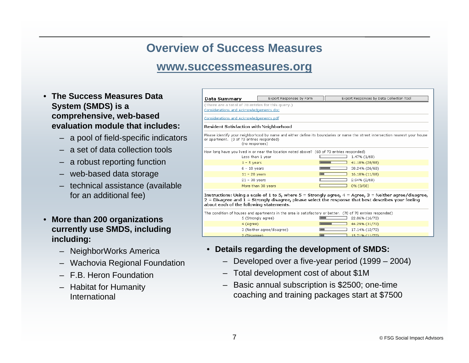#### **Overview of Success Measures**

#### **www.successmeasures.org**

- **The Success Measures Data System (SMDS) is a comprehensive, web-based evaluation module that includes:**
	- a pool of field-specific indicators
	- a set of data collection tools
	- a robust reporting function
	- web-based data storage
	- technical assistance (available for an additional fee)
- **More than 200 organizations currently use SMDS, including including:**
	- NeighborWorks America
	- Wachovia Regional Foundation
	- F.B. Heron Foundation
	- Habitat for Humanity International

| Data Summary                                                                                                                                                                                                                                                        | Export Responses by Form                                                                                   |  | Export Responses by Data Collection Tool                                                                                      |  |
|---------------------------------------------------------------------------------------------------------------------------------------------------------------------------------------------------------------------------------------------------------------------|------------------------------------------------------------------------------------------------------------|--|-------------------------------------------------------------------------------------------------------------------------------|--|
| (There are a total of 70 entries for this query.)                                                                                                                                                                                                                   |                                                                                                            |  |                                                                                                                               |  |
| Considerations and Acknowledgements.doc                                                                                                                                                                                                                             |                                                                                                            |  |                                                                                                                               |  |
| Considerations and Acknowledgements.pdf                                                                                                                                                                                                                             |                                                                                                            |  |                                                                                                                               |  |
| <b>Resident Satisfaction with Neighborhood</b>                                                                                                                                                                                                                      |                                                                                                            |  |                                                                                                                               |  |
| or apartment. (0 of 70 entries responded)                                                                                                                                                                                                                           | (no responses)                                                                                             |  | Please identify your neighborhood by name and either define its boundaries or name the street intersection nearest your house |  |
|                                                                                                                                                                                                                                                                     | How long have you lived in or near the location noted above? (68 of 70 entries responded)                  |  |                                                                                                                               |  |
|                                                                                                                                                                                                                                                                     | Less than 1 year                                                                                           |  | 1.47% (1/68)                                                                                                                  |  |
|                                                                                                                                                                                                                                                                     | $1 - 5$ years                                                                                              |  | 41.18% (28/68)                                                                                                                |  |
|                                                                                                                                                                                                                                                                     | $6 - 10$ years                                                                                             |  | 38.24% (26/68)                                                                                                                |  |
|                                                                                                                                                                                                                                                                     | $11 - 20$ years                                                                                            |  | 16.18% (11/68)                                                                                                                |  |
|                                                                                                                                                                                                                                                                     | $21 - 30$ years                                                                                            |  | 2.94% (2/68)                                                                                                                  |  |
|                                                                                                                                                                                                                                                                     | More than 30 years                                                                                         |  | 0% (0/68)                                                                                                                     |  |
| Instructions: Using a scale of 1 to 5, where $5 =$ Strongly agree, $4 =$ Agree, $3 =$ Neither agree/disagree,<br>$2$ = Disagree and $1$ = Strongly disagree, please select the response that best describes your feeling<br>about each of the following statements. |                                                                                                            |  |                                                                                                                               |  |
|                                                                                                                                                                                                                                                                     | The condition of houses and apartments in the area is satisfactory or better. (70 of 70 entries responded) |  |                                                                                                                               |  |
|                                                                                                                                                                                                                                                                     | 5 (Strongly agree)                                                                                         |  | 22.86% (16/70)                                                                                                                |  |
|                                                                                                                                                                                                                                                                     | 4 (Agree)                                                                                                  |  | 44.29% (31/70)                                                                                                                |  |
|                                                                                                                                                                                                                                                                     | 3 (Neither agree/disagree)                                                                                 |  | 17.14% (12/70)                                                                                                                |  |
|                                                                                                                                                                                                                                                                     | 2 (Disagree).                                                                                              |  | 15.71% (11/70)                                                                                                                |  |

- **Details regarding the development of SMDS:**
	- Developed over a five-year period (1999 2004)
	- Total development cost of about \$1M
	- Basic annual subscription is \$2500; one-time coaching and training packages start at \$7500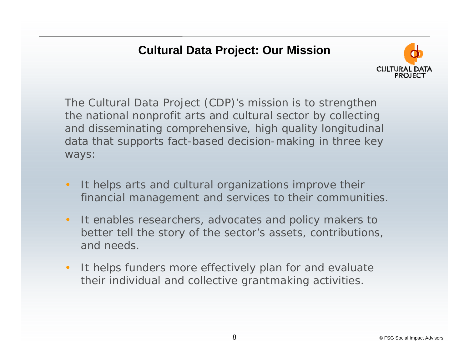#### **Cultural Data Project: Our Mission**



The Cultural Data Project (CDP)'s mission is to strengthen the national nonprofit arts and cultural sector by collecting and disseminating comprehensive, high quality longitudinal data that supports fact-based decision-making in three key ways:

- • It helps arts and cultural organizations improve their financial management and services to their communities.
- • It enables researchers, advocates and policy makers to better tell the story of the sector's assets, contributions, and needs.
- • It helps funders more effectively plan for and evaluate their individual and collective grantmaking activities.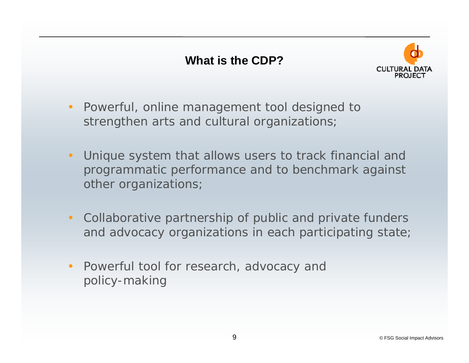

- • Powerful, online management tool designed to strengthen arts and cultural organizations;
- Unique system that allows users to track financial and programmatic performance and to benchmark against other organizations;
- • Collaborative partnership of public and private funders and advocacy organizations in each participating state;
- $\bullet$  Powerful tool for research, advocacy and policy-making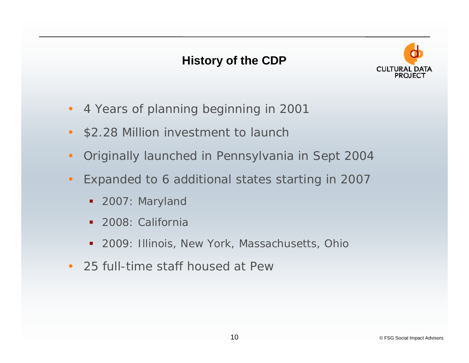#### **History of the CDP**



- •4 Years of planning beginning in 2001
- \$2.28 Million investment to launch
- $\bullet$ Originally launched in Pennsylvania in Sept 2004
- • Expanded to 6 additional states starting in 2007
	- **2007: Maryland**
	- **2008: California**
	- 2009: Illinois, New York, Massachusetts, Ohio
- 25 full-time staff housed at Pew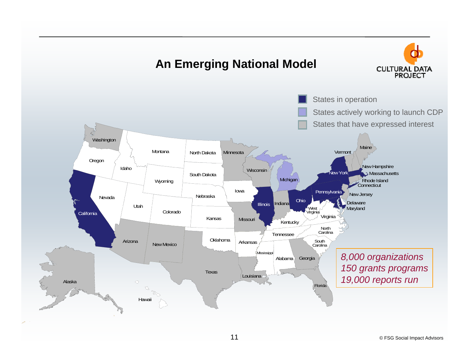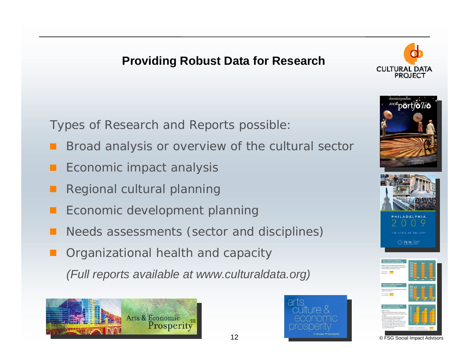### **Providing Robust Data for Research**



Types of Research and Reports possible:

- Broad analysis or overview of the cultural sector
- Economic impact analysis
- Regional cultural planning
- Economic development planning
- Needs assessments (sector and disciplines)
- Organizational health and capacity
	- *(Full reports available at www.culturaldata.org)*











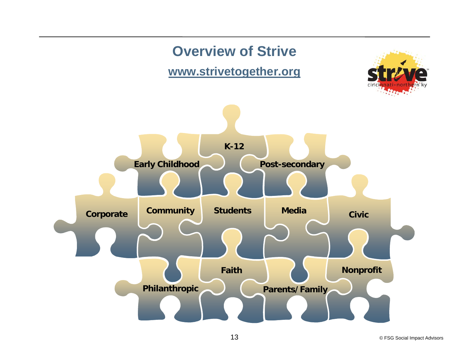

© FSG Social Impact Advisors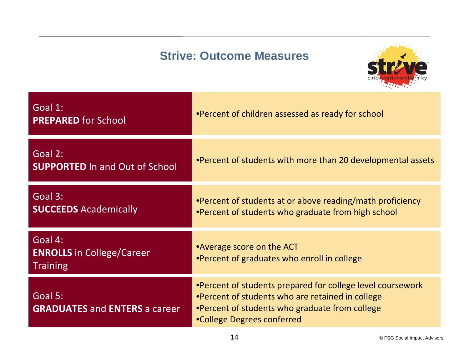### **Strive: Outcome Measures**



| Goal 1:<br><b>PREPARED for School</b>                          | •Percent of children assessed as ready for school                                                                                                                                              |
|----------------------------------------------------------------|------------------------------------------------------------------------------------------------------------------------------------------------------------------------------------------------|
| Goal 2:<br><b>SUPPORTED In and Out of School</b>               | •Percent of students with more than 20 developmental assets                                                                                                                                    |
| Goal 3:<br><b>SUCCEEDS Academically</b>                        | •Percent of students at or above reading/math proficiency<br>.Percent of students who graduate from high school                                                                                |
| Goal 4:<br><b>ENROLLS</b> in College/Career<br><b>Training</b> | •Average score on the ACT<br>•Percent of graduates who enroll in college                                                                                                                       |
| Goal 5:<br><b>GRADUATES and ENTERS a career</b>                | •Percent of students prepared for college level coursework<br>•Percent of students who are retained in college<br>•Percent of students who graduate from college<br>•College Degrees conferred |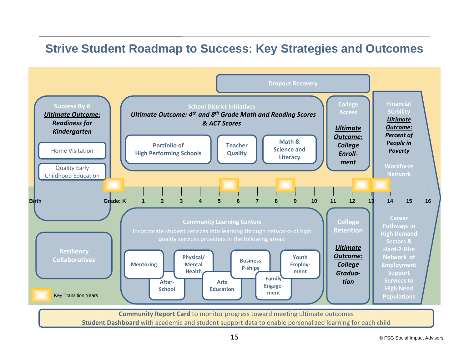#### **Strive Student Roadmap to Success: Key Strategies and Outcomes**



**Student Dashboard** with academic and student support data to enable personalized learning for each child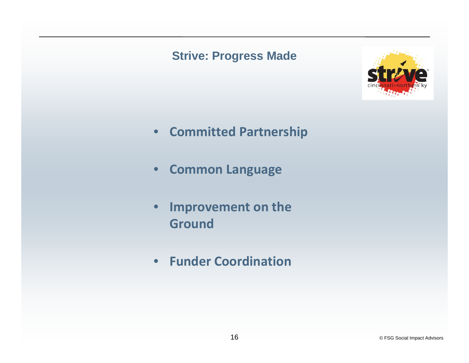#### **Strive: Progress Made**



- **Committed Partnership**
- $\bullet$ **Common Language**
- • **Improvement on the Ground**
- **Funder Coordination**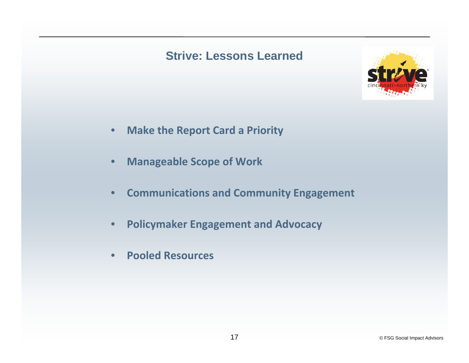#### **Strive: Lessons Learned**



- $\bullet$ **Make the Report Card <sup>a</sup> Priority**
- $\bullet$ **Manageable Scope of Work**
- •**Communications and Community Engagement**
- $\bullet$ **Policymaker Engagement and Advocacy**
- $\bullet$ **Pooled Resources**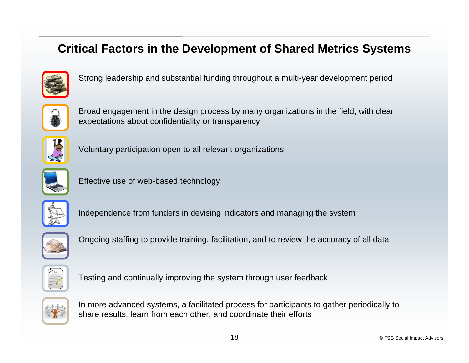#### **Critical Factors in the Development of Shared Metrics Systems**



Strong leadership and substantial funding throughout a multi-year development period



Broad engagement in the design process by many organizations in the field, with clear expectations about confidentiality or transparency



Voluntary participation open to all relevant organizations



Effective use of web-based technology



Independence from funders in devising indicators and managing the system



Ongoing staffing to provide training, facilitation, and to review the accuracy of all data



Testing and continually improving the system through user feedback



In more advanced systems, a facilitated process for participants to gather periodically to share results, learn from each other, and coordinate their efforts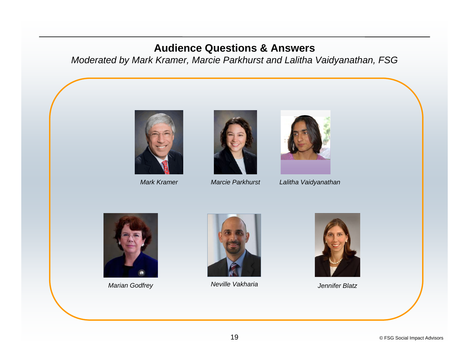#### **Audience Questions & Answers**

*Moderated by Mark Kramer, Marcie Parkhurst and Lalitha Vaidyanathan, FSG*



*Mark Kramer*





*Marcie Parkhurst Lalitha Vaidyanathan*



*Marian Godfrey Neville Vakharia Jennifer Blatz*



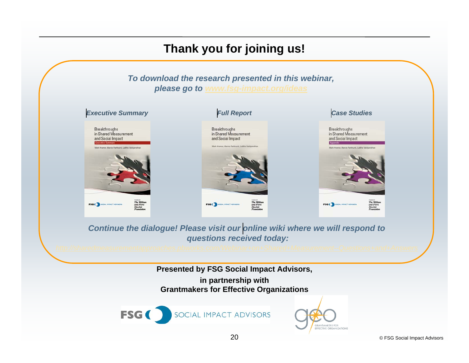# **Thank you for joining us!**

#### *To download the research presented in this webinar, please go to www.fsg-impact.org/ideas*



*Continue the dialogue! Please visit our [online wiki](http://sharedmeasurementapproaches.pbworks.com/Webinar+on+Shared+Measurement--Questions+and+Answers#) where we will respond to questions received today:*

**Presented by FSG Social Impact Advisors, in partnership with Grantmakers for Effective Organizations**